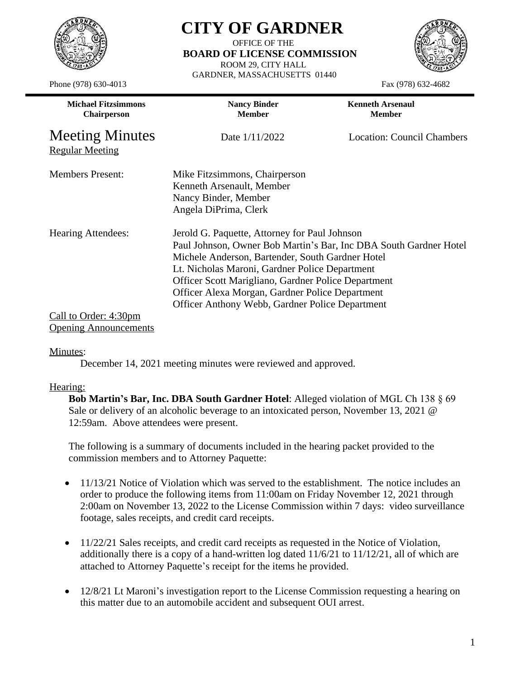

Phone (978) 630-4013 Fax (978) 632-4682

## **CITY OF GARDNER**

OFFICE OF THE  **BOARD OF LICENSE COMMISSION** ROOM 29, CITY HALL GARDNER, MASSACHUSETTS 01440



| <b>Michael Fitzsimmons</b><br><b>Chairperson</b> | <b>Nancy Binder</b><br><b>Member</b>                                                                                                                                                                                                                                                                                                                                                  | <b>Kenneth Arsenaul</b><br><b>Member</b> |
|--------------------------------------------------|---------------------------------------------------------------------------------------------------------------------------------------------------------------------------------------------------------------------------------------------------------------------------------------------------------------------------------------------------------------------------------------|------------------------------------------|
| <b>Meeting Minutes</b><br><b>Regular Meeting</b> | Date $1/11/2022$                                                                                                                                                                                                                                                                                                                                                                      | Location: Council Chambers               |
| <b>Members Present:</b>                          | Mike Fitzsimmons, Chairperson<br>Kenneth Arsenault, Member<br>Nancy Binder, Member<br>Angela DiPrima, Clerk                                                                                                                                                                                                                                                                           |                                          |
| <b>Hearing Attendees:</b>                        | Jerold G. Paquette, Attorney for Paul Johnson<br>Paul Johnson, Owner Bob Martin's Bar, Inc DBA South Gardner Hotel<br>Michele Anderson, Bartender, South Gardner Hotel<br>Lt. Nicholas Maroni, Gardner Police Department<br>Officer Scott Marigliano, Gardner Police Department<br>Officer Alexa Morgan, Gardner Police Department<br>Officer Anthony Webb, Gardner Police Department |                                          |
| Call to Order: 4:30pm                            |                                                                                                                                                                                                                                                                                                                                                                                       |                                          |

Opening Announcements

## Minutes:

December 14, 2021 meeting minutes were reviewed and approved.

## Hearing:

**Bob Martin's Bar, Inc. DBA South Gardner Hotel**: Alleged violation of MGL Ch 138 § 69 Sale or delivery of an alcoholic beverage to an intoxicated person, November 13, 2021 @ 12:59am. Above attendees were present.

The following is a summary of documents included in the hearing packet provided to the commission members and to Attorney Paquette:

- 11/13/21 Notice of Violation which was served to the establishment. The notice includes an order to produce the following items from 11:00am on Friday November 12, 2021 through 2:00am on November 13, 2022 to the License Commission within 7 days: video surveillance footage, sales receipts, and credit card receipts.
- 11/22/21 Sales receipts, and credit card receipts as requested in the Notice of Violation, additionally there is a copy of a hand-written log dated  $11/6/21$  to  $11/12/21$ , all of which are attached to Attorney Paquette's receipt for the items he provided.
- 12/8/21 Lt Maroni's investigation report to the License Commission requesting a hearing on this matter due to an automobile accident and subsequent OUI arrest.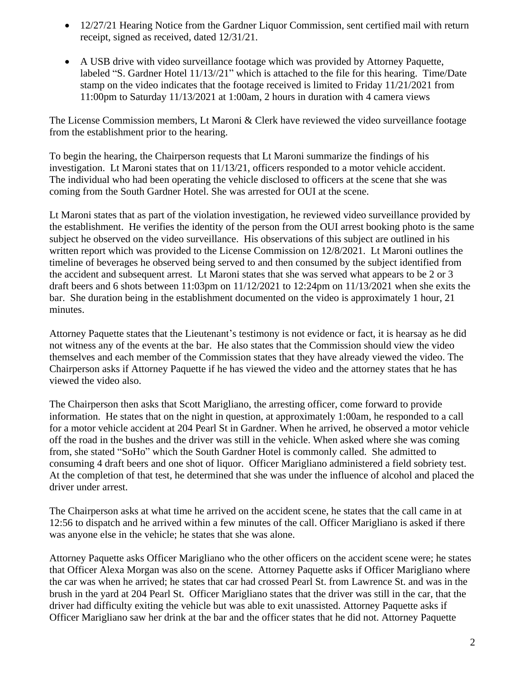- 12/27/21 Hearing Notice from the Gardner Liquor Commission, sent certified mail with return receipt, signed as received, dated 12/31/21.
- A USB drive with video surveillance footage which was provided by Attorney Paquette, labeled "S. Gardner Hotel 11/13//21" which is attached to the file for this hearing. Time/Date stamp on the video indicates that the footage received is limited to Friday 11/21/2021 from 11:00pm to Saturday 11/13/2021 at 1:00am, 2 hours in duration with 4 camera views

The License Commission members, Lt Maroni & Clerk have reviewed the video surveillance footage from the establishment prior to the hearing.

To begin the hearing, the Chairperson requests that Lt Maroni summarize the findings of his investigation. Lt Maroni states that on 11/13/21, officers responded to a motor vehicle accident. The individual who had been operating the vehicle disclosed to officers at the scene that she was coming from the South Gardner Hotel. She was arrested for OUI at the scene.

Lt Maroni states that as part of the violation investigation, he reviewed video surveillance provided by the establishment. He verifies the identity of the person from the OUI arrest booking photo is the same subject he observed on the video surveillance. His observations of this subject are outlined in his written report which was provided to the License Commission on 12/8/2021. Lt Maroni outlines the timeline of beverages he observed being served to and then consumed by the subject identified from the accident and subsequent arrest. Lt Maroni states that she was served what appears to be 2 or 3 draft beers and 6 shots between 11:03pm on 11/12/2021 to 12:24pm on 11/13/2021 when she exits the bar. She duration being in the establishment documented on the video is approximately 1 hour, 21 minutes.

Attorney Paquette states that the Lieutenant's testimony is not evidence or fact, it is hearsay as he did not witness any of the events at the bar. He also states that the Commission should view the video themselves and each member of the Commission states that they have already viewed the video. The Chairperson asks if Attorney Paquette if he has viewed the video and the attorney states that he has viewed the video also.

The Chairperson then asks that Scott Marigliano, the arresting officer, come forward to provide information. He states that on the night in question, at approximately 1:00am, he responded to a call for a motor vehicle accident at 204 Pearl St in Gardner. When he arrived, he observed a motor vehicle off the road in the bushes and the driver was still in the vehicle. When asked where she was coming from, she stated "SoHo" which the South Gardner Hotel is commonly called. She admitted to consuming 4 draft beers and one shot of liquor. Officer Marigliano administered a field sobriety test. At the completion of that test, he determined that she was under the influence of alcohol and placed the driver under arrest.

The Chairperson asks at what time he arrived on the accident scene, he states that the call came in at 12:56 to dispatch and he arrived within a few minutes of the call. Officer Marigliano is asked if there was anyone else in the vehicle; he states that she was alone.

Attorney Paquette asks Officer Marigliano who the other officers on the accident scene were; he states that Officer Alexa Morgan was also on the scene. Attorney Paquette asks if Officer Marigliano where the car was when he arrived; he states that car had crossed Pearl St. from Lawrence St. and was in the brush in the yard at 204 Pearl St. Officer Marigliano states that the driver was still in the car, that the driver had difficulty exiting the vehicle but was able to exit unassisted. Attorney Paquette asks if Officer Marigliano saw her drink at the bar and the officer states that he did not. Attorney Paquette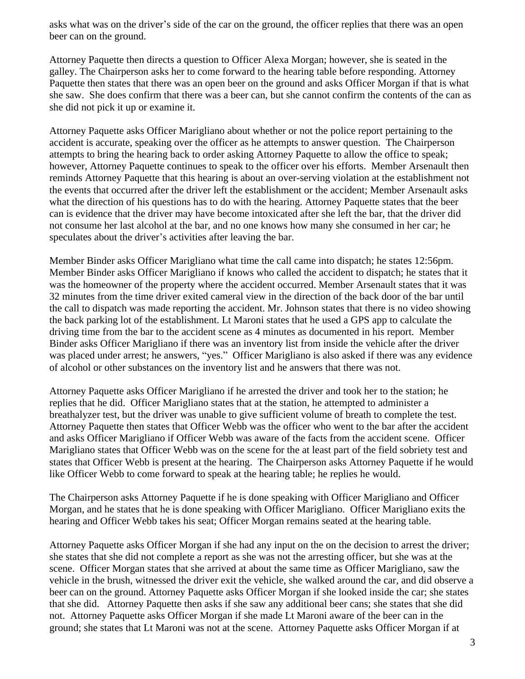asks what was on the driver's side of the car on the ground, the officer replies that there was an open beer can on the ground.

Attorney Paquette then directs a question to Officer Alexa Morgan; however, she is seated in the galley. The Chairperson asks her to come forward to the hearing table before responding. Attorney Paquette then states that there was an open beer on the ground and asks Officer Morgan if that is what she saw. She does confirm that there was a beer can, but she cannot confirm the contents of the can as she did not pick it up or examine it.

Attorney Paquette asks Officer Marigliano about whether or not the police report pertaining to the accident is accurate, speaking over the officer as he attempts to answer question. The Chairperson attempts to bring the hearing back to order asking Attorney Paquette to allow the office to speak; however, Attorney Paquette continues to speak to the officer over his efforts. Member Arsenault then reminds Attorney Paquette that this hearing is about an over-serving violation at the establishment not the events that occurred after the driver left the establishment or the accident; Member Arsenault asks what the direction of his questions has to do with the hearing. Attorney Paquette states that the beer can is evidence that the driver may have become intoxicated after she left the bar, that the driver did not consume her last alcohol at the bar, and no one knows how many she consumed in her car; he speculates about the driver's activities after leaving the bar.

Member Binder asks Officer Marigliano what time the call came into dispatch; he states 12:56pm. Member Binder asks Officer Marigliano if knows who called the accident to dispatch; he states that it was the homeowner of the property where the accident occurred. Member Arsenault states that it was 32 minutes from the time driver exited cameral view in the direction of the back door of the bar until the call to dispatch was made reporting the accident. Mr. Johnson states that there is no video showing the back parking lot of the establishment. Lt Maroni states that he used a GPS app to calculate the driving time from the bar to the accident scene as 4 minutes as documented in his report. Member Binder asks Officer Marigliano if there was an inventory list from inside the vehicle after the driver was placed under arrest; he answers, "yes." Officer Marigliano is also asked if there was any evidence of alcohol or other substances on the inventory list and he answers that there was not.

Attorney Paquette asks Officer Marigliano if he arrested the driver and took her to the station; he replies that he did. Officer Marigliano states that at the station, he attempted to administer a breathalyzer test, but the driver was unable to give sufficient volume of breath to complete the test. Attorney Paquette then states that Officer Webb was the officer who went to the bar after the accident and asks Officer Marigliano if Officer Webb was aware of the facts from the accident scene. Officer Marigliano states that Officer Webb was on the scene for the at least part of the field sobriety test and states that Officer Webb is present at the hearing. The Chairperson asks Attorney Paquette if he would like Officer Webb to come forward to speak at the hearing table; he replies he would.

The Chairperson asks Attorney Paquette if he is done speaking with Officer Marigliano and Officer Morgan, and he states that he is done speaking with Officer Marigliano. Officer Marigliano exits the hearing and Officer Webb takes his seat; Officer Morgan remains seated at the hearing table.

Attorney Paquette asks Officer Morgan if she had any input on the on the decision to arrest the driver; she states that she did not complete a report as she was not the arresting officer, but she was at the scene. Officer Morgan states that she arrived at about the same time as Officer Marigliano, saw the vehicle in the brush, witnessed the driver exit the vehicle, she walked around the car, and did observe a beer can on the ground. Attorney Paquette asks Officer Morgan if she looked inside the car; she states that she did. Attorney Paquette then asks if she saw any additional beer cans; she states that she did not. Attorney Paquette asks Officer Morgan if she made Lt Maroni aware of the beer can in the ground; she states that Lt Maroni was not at the scene. Attorney Paquette asks Officer Morgan if at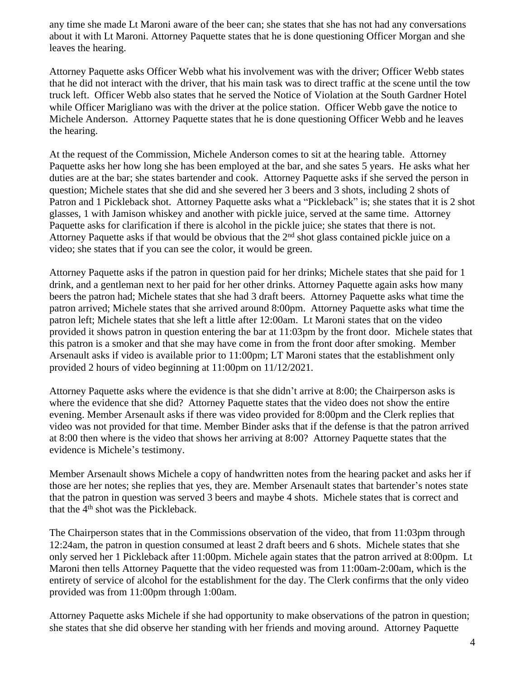any time she made Lt Maroni aware of the beer can; she states that she has not had any conversations about it with Lt Maroni. Attorney Paquette states that he is done questioning Officer Morgan and she leaves the hearing.

Attorney Paquette asks Officer Webb what his involvement was with the driver; Officer Webb states that he did not interact with the driver, that his main task was to direct traffic at the scene until the tow truck left. Officer Webb also states that he served the Notice of Violation at the South Gardner Hotel while Officer Marigliano was with the driver at the police station. Officer Webb gave the notice to Michele Anderson. Attorney Paquette states that he is done questioning Officer Webb and he leaves the hearing.

At the request of the Commission, Michele Anderson comes to sit at the hearing table. Attorney Paquette asks her how long she has been employed at the bar, and she sates 5 years. He asks what her duties are at the bar; she states bartender and cook. Attorney Paquette asks if she served the person in question; Michele states that she did and she severed her 3 beers and 3 shots, including 2 shots of Patron and 1 Pickleback shot. Attorney Paquette asks what a "Pickleback" is; she states that it is 2 shot glasses, 1 with Jamison whiskey and another with pickle juice, served at the same time. Attorney Paquette asks for clarification if there is alcohol in the pickle juice; she states that there is not. Attorney Paquette asks if that would be obvious that the 2nd shot glass contained pickle juice on a video; she states that if you can see the color, it would be green.

Attorney Paquette asks if the patron in question paid for her drinks; Michele states that she paid for 1 drink, and a gentleman next to her paid for her other drinks. Attorney Paquette again asks how many beers the patron had; Michele states that she had 3 draft beers. Attorney Paquette asks what time the patron arrived; Michele states that she arrived around 8:00pm. Attorney Paquette asks what time the patron left; Michele states that she left a little after 12:00am. Lt Maroni states that on the video provided it shows patron in question entering the bar at 11:03pm by the front door. Michele states that this patron is a smoker and that she may have come in from the front door after smoking. Member Arsenault asks if video is available prior to 11:00pm; LT Maroni states that the establishment only provided 2 hours of video beginning at 11:00pm on 11/12/2021.

Attorney Paquette asks where the evidence is that she didn't arrive at 8:00; the Chairperson asks is where the evidence that she did? Attorney Paquette states that the video does not show the entire evening. Member Arsenault asks if there was video provided for 8:00pm and the Clerk replies that video was not provided for that time. Member Binder asks that if the defense is that the patron arrived at 8:00 then where is the video that shows her arriving at 8:00? Attorney Paquette states that the evidence is Michele's testimony.

Member Arsenault shows Michele a copy of handwritten notes from the hearing packet and asks her if those are her notes; she replies that yes, they are. Member Arsenault states that bartender's notes state that the patron in question was served 3 beers and maybe 4 shots. Michele states that is correct and that the 4<sup>th</sup> shot was the Pickleback.

The Chairperson states that in the Commissions observation of the video, that from 11:03pm through 12:24am, the patron in question consumed at least 2 draft beers and 6 shots. Michele states that she only served her 1 Pickleback after 11:00pm. Michele again states that the patron arrived at 8:00pm. Lt Maroni then tells Attorney Paquette that the video requested was from 11:00am-2:00am, which is the entirety of service of alcohol for the establishment for the day. The Clerk confirms that the only video provided was from 11:00pm through 1:00am.

Attorney Paquette asks Michele if she had opportunity to make observations of the patron in question; she states that she did observe her standing with her friends and moving around. Attorney Paquette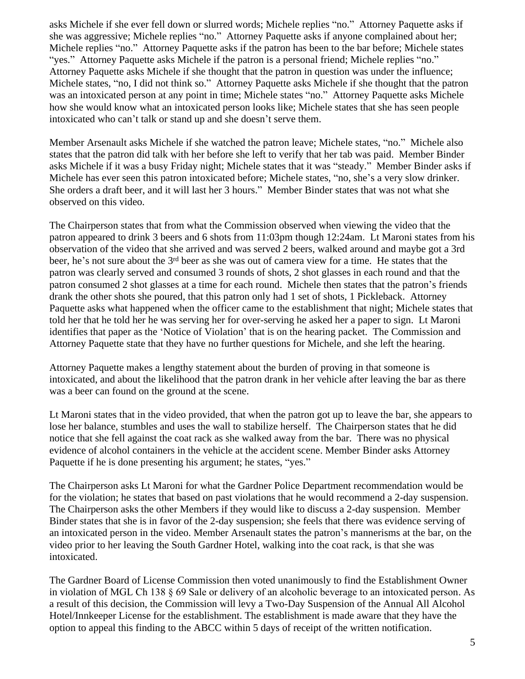asks Michele if she ever fell down or slurred words; Michele replies "no." Attorney Paquette asks if she was aggressive; Michele replies "no." Attorney Paquette asks if anyone complained about her; Michele replies "no." Attorney Paquette asks if the patron has been to the bar before; Michele states "yes." Attorney Paquette asks Michele if the patron is a personal friend; Michele replies "no." Attorney Paquette asks Michele if she thought that the patron in question was under the influence; Michele states, "no, I did not think so." Attorney Paquette asks Michele if she thought that the patron was an intoxicated person at any point in time; Michele states "no." Attorney Paquette asks Michele how she would know what an intoxicated person looks like; Michele states that she has seen people intoxicated who can't talk or stand up and she doesn't serve them.

Member Arsenault asks Michele if she watched the patron leave; Michele states, "no." Michele also states that the patron did talk with her before she left to verify that her tab was paid. Member Binder asks Michele if it was a busy Friday night; Michele states that it was "steady." Member Binder asks if Michele has ever seen this patron intoxicated before; Michele states, "no, she's a very slow drinker. She orders a draft beer, and it will last her 3 hours." Member Binder states that was not what she observed on this video.

The Chairperson states that from what the Commission observed when viewing the video that the patron appeared to drink 3 beers and 6 shots from 11:03pm though 12:24am. Lt Maroni states from his observation of the video that she arrived and was served 2 beers, walked around and maybe got a 3rd beer, he's not sure about the 3<sup>rd</sup> beer as she was out of camera view for a time. He states that the patron was clearly served and consumed 3 rounds of shots, 2 shot glasses in each round and that the patron consumed 2 shot glasses at a time for each round. Michele then states that the patron's friends drank the other shots she poured, that this patron only had 1 set of shots, 1 Pickleback. Attorney Paquette asks what happened when the officer came to the establishment that night; Michele states that told her that he told her he was serving her for over-serving he asked her a paper to sign. Lt Maroni identifies that paper as the 'Notice of Violation' that is on the hearing packet. The Commission and Attorney Paquette state that they have no further questions for Michele, and she left the hearing.

Attorney Paquette makes a lengthy statement about the burden of proving in that someone is intoxicated, and about the likelihood that the patron drank in her vehicle after leaving the bar as there was a beer can found on the ground at the scene.

Lt Maroni states that in the video provided, that when the patron got up to leave the bar, she appears to lose her balance, stumbles and uses the wall to stabilize herself. The Chairperson states that he did notice that she fell against the coat rack as she walked away from the bar. There was no physical evidence of alcohol containers in the vehicle at the accident scene. Member Binder asks Attorney Paquette if he is done presenting his argument; he states, "yes."

The Chairperson asks Lt Maroni for what the Gardner Police Department recommendation would be for the violation; he states that based on past violations that he would recommend a 2-day suspension. The Chairperson asks the other Members if they would like to discuss a 2-day suspension. Member Binder states that she is in favor of the 2-day suspension; she feels that there was evidence serving of an intoxicated person in the video. Member Arsenault states the patron's mannerisms at the bar, on the video prior to her leaving the South Gardner Hotel, walking into the coat rack, is that she was intoxicated.

The Gardner Board of License Commission then voted unanimously to find the Establishment Owner in violation of MGL Ch 138 § 69 Sale or delivery of an alcoholic beverage to an intoxicated person. As a result of this decision, the Commission will levy a Two-Day Suspension of the Annual All Alcohol Hotel/Innkeeper License for the establishment. The establishment is made aware that they have the option to appeal this finding to the ABCC within 5 days of receipt of the written notification.